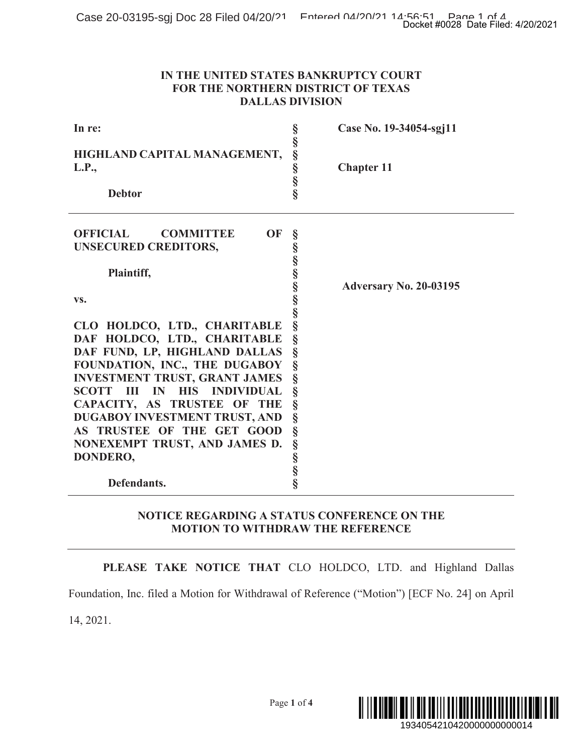### **IN THE UNITED STATES BANKRUPTCY COURT FOR THE NORTHERN DISTRICT OF TEXAS DALLAS DIVISION**

|                                                                                                                                                                                                                                                                                                                                                                      |                                                            | Docket #0028 Date Filed: 4/20/2021 |  |
|----------------------------------------------------------------------------------------------------------------------------------------------------------------------------------------------------------------------------------------------------------------------------------------------------------------------------------------------------------------------|------------------------------------------------------------|------------------------------------|--|
| IN THE UNITED STATES BANKRUPTCY COURT<br>FOR THE NORTHERN DISTRICT OF TEXAS<br><b>DALLAS DIVISION</b>                                                                                                                                                                                                                                                                |                                                            |                                    |  |
| In re:                                                                                                                                                                                                                                                                                                                                                               |                                                            | Case No. 19-34054-sgj11            |  |
| HIGHLAND CAPITAL MANAGEMENT,<br>L.P.,<br><b>Debtor</b>                                                                                                                                                                                                                                                                                                               | 50,00,00,00,00,00,00;                                      | <b>Chapter 11</b>                  |  |
| <b>OFFICIAL</b><br><b>OF</b><br><b>COMMITTEE</b><br><b>UNSECURED CREDITORS,</b>                                                                                                                                                                                                                                                                                      | §                                                          |                                    |  |
| Plaintiff,<br>VS.                                                                                                                                                                                                                                                                                                                                                    |                                                            | <b>Adversary No. 20-03195</b>      |  |
| CLO HOLDCO, LTD., CHARITABLE<br>DAF HOLDCO, LTD., CHARITABLE<br>DAF FUND, LP, HIGHLAND DALLAS<br>FOUNDATION, INC., THE DUGABOY<br><b>INVESTMENT TRUST, GRANT JAMES</b><br>SCOTT III IN<br><b>HIS</b><br><b>INDIVIDUAL</b><br>CAPACITY, AS TRUSTEE OF THE<br>DUGABOY INVESTMENT TRUST, AND<br>AS TRUSTEE OF THE GET GOOD<br>NONEXEMPT TRUST, AND JAMES D.<br>DONDERO, | §<br>§<br>§<br>§<br>§<br>§<br>§<br>§<br>Ş<br>$\frac{8}{8}$ |                                    |  |
| Defendants.                                                                                                                                                                                                                                                                                                                                                          |                                                            |                                    |  |
| NOTICE REGARDING A STATUS CONFERENCE ON THE<br><b>MOTION TO WITHDRAW THE REFERENCE</b>                                                                                                                                                                                                                                                                               |                                                            |                                    |  |
| PLEASE TAKE NOTICE THAT CLO HOLDCO, LTD. and Highland Dallas                                                                                                                                                                                                                                                                                                         |                                                            |                                    |  |
| Foundation, Inc. filed a Motion for Withdrawal of Reference ("Motion") [ECF No. 24] on April                                                                                                                                                                                                                                                                         |                                                            |                                    |  |
| 14, 2021.                                                                                                                                                                                                                                                                                                                                                            |                                                            |                                    |  |
|                                                                                                                                                                                                                                                                                                                                                                      | Page 1 of 4                                                | 1934054210420000000000014          |  |

# **NOTICE REGARDING A STATUS CONFERENCE ON THE MOTION TO WITHDRAW THE REFERENCE**

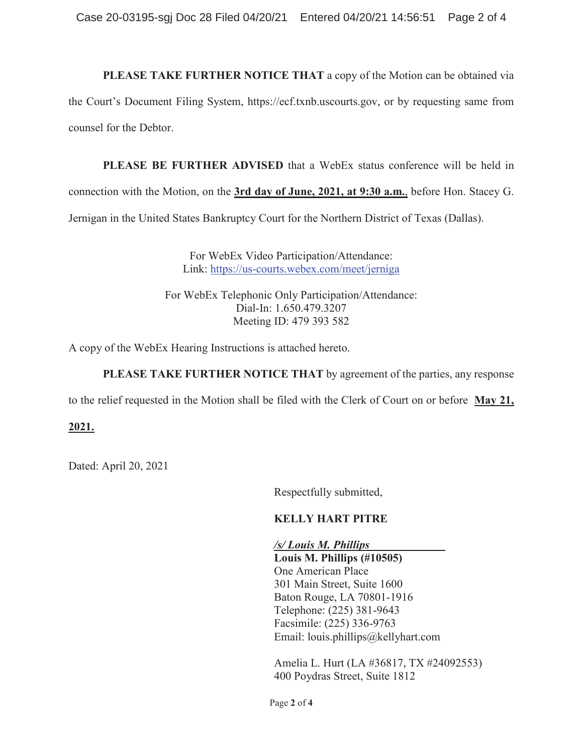**PLEASE TAKE FURTHER NOTICE THAT** a copy of the Motion can be obtained via the Court's Document Filing System, https://ecf.txnb.uscourts.gov, or by requesting same from counsel for the Debtor.

**PLEASE BE FURTHER ADVISED** that a WebEx status conference will be held in connection with the Motion, on the **3rd day of June, 2021, at 9:30 a.m.**, before Hon. Stacey G. Jernigan in the United States Bankruptcy Court for the Northern District of Texas (Dallas).

> For WebEx Video Participation/Attendance: Link: https://us-courts.webex.com/meet/jerniga

For WebEx Telephonic Only Participation/Attendance: Dial-In: 1.650.479.3207 Meeting ID: 479 393 582

A copy of the WebEx Hearing Instructions is attached hereto.

**PLEASE TAKE FURTHER NOTICE THAT** by agreement of the parties, any response

to the relief requested in the Motion shall be filed with the Clerk of Court on or before **May 21,** 

# **2021.**

Dated: April 20, 2021

Respectfully submitted,

# **KELLY HART PITRE**

*/s/ Louis M. Phillips* 

**Louis M. Phillips (#10505)**  One American Place 301 Main Street, Suite 1600 Baton Rouge, LA 70801-1916 Telephone: (225) 381-9643 Facsimile: (225) 336-9763 Email: louis.phillips@kellyhart.com

Amelia L. Hurt (LA #36817, TX #24092553) 400 Poydras Street, Suite 1812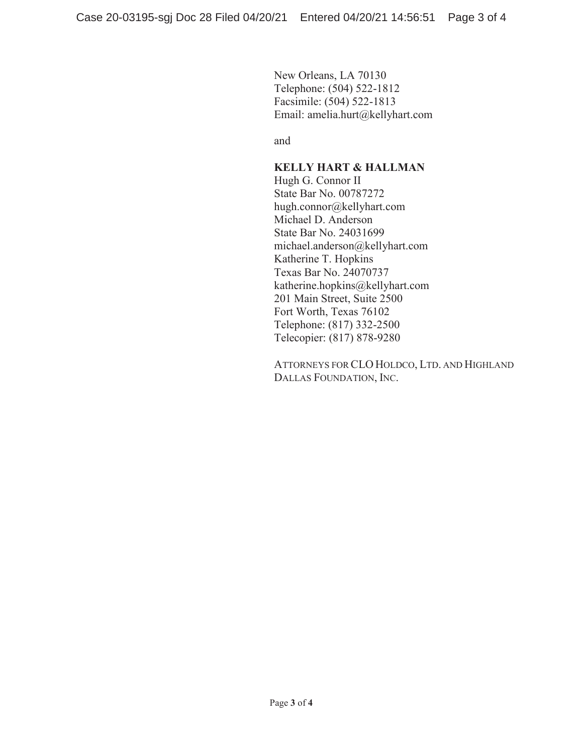New Orleans, LA 70130 Telephone: (504) 522-1812 Facsimile: (504) 522-1813 Email: amelia.hurt@kellyhart.com

and

## **KELLY HART & HALLMAN**

Hugh G. Connor II State Bar No. 00787272 hugh.connor@kellyhart.com Michael D. Anderson State Bar No. 24031699 michael.anderson@kellyhart.com Katherine T. Hopkins Texas Bar No. 24070737 katherine.hopkins@kellyhart.com 201 Main Street, Suite 2500 Fort Worth, Texas 76102 Telephone: (817) 332-2500 Telecopier: (817) 878-9280

ATTORNEYS FOR CLO HOLDCO, LTD. AND HIGHLAND DALLAS FOUNDATION, INC.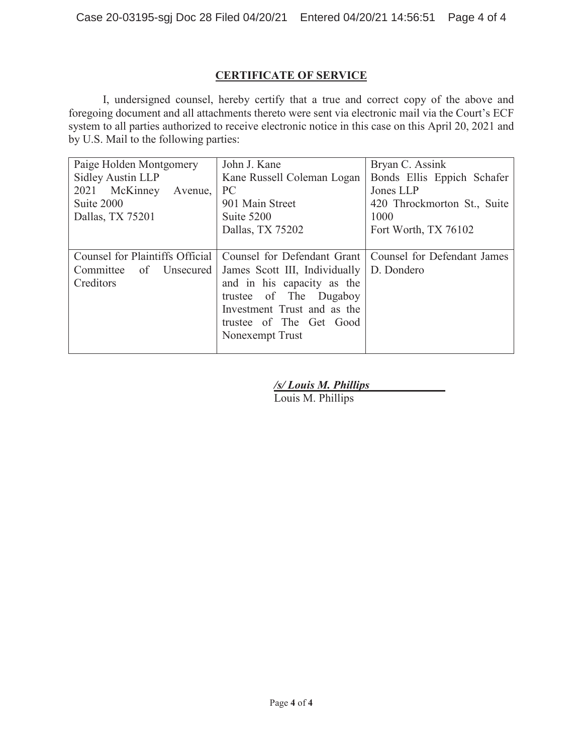# **CERTIFICATE OF SERVICE**

I, undersigned counsel, hereby certify that a true and correct copy of the above and foregoing document and all attachments thereto were sent via electronic mail via the Court's ECF system to all parties authorized to receive electronic notice in this case on this April 20, 2021 and by U.S. Mail to the following parties:

| Paige Holden Montgomery                                        | John J. Kane                  | Bryan C. Assink             |
|----------------------------------------------------------------|-------------------------------|-----------------------------|
| Sidley Austin LLP                                              | Kane Russell Coleman Logan    | Bonds Ellis Eppich Schafer  |
| 2021 McKinney<br>Avenue,                                       | <b>PC</b>                     | Jones LLP                   |
| Suite 2000                                                     | 901 Main Street               | 420 Throckmorton St., Suite |
| Dallas, TX 75201                                               | Suite 5200                    | 1000                        |
|                                                                | Dallas, TX 75202              | Fort Worth, TX 76102        |
|                                                                |                               |                             |
| Counsel for Plaintiffs Official<br>Counsel for Defendant Grant |                               | Counsel for Defendant James |
| of Unsecured<br>Committee                                      | James Scott III, Individually | D. Dondero                  |
| Creditors                                                      | and in his capacity as the    |                             |
|                                                                | trustee of The Dugaboy        |                             |
|                                                                | Investment Trust and as the   |                             |
|                                                                | trustee of The Get Good       |                             |
|                                                                | Nonexempt Trust               |                             |
|                                                                |                               |                             |

*/s/ Louis M. Phillips* 

Louis M. Phillips